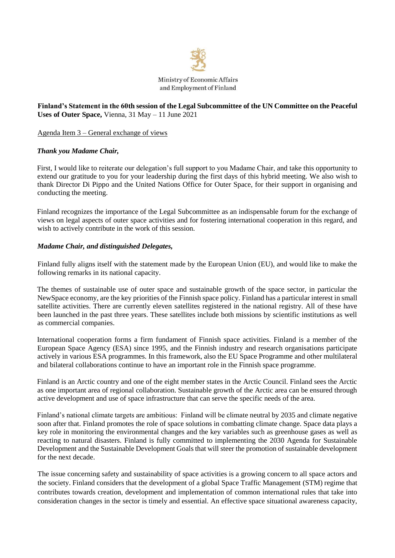

# **Finland's Statement in the 60th session of the Legal Subcommittee of the UN Committee on the Peaceful Uses of Outer Space,** Vienna, 31 May – 11 June 2021

Agenda Item 3 – General exchange of views

#### *Thank you Madame Chair,*

First, I would like to reiterate our delegation's full support to you Madame Chair, and take this opportunity to extend our gratitude to you for your leadership during the first days of this hybrid meeting. We also wish to thank Director Di Pippo and the United Nations Office for Outer Space, for their support in organising and conducting the meeting.

Finland recognizes the importance of the Legal Subcommittee as an indispensable forum for the exchange of views on legal aspects of outer space activities and for fostering international cooperation in this regard, and wish to actively contribute in the work of this session.

#### *Madame Chair, and distinguished Delegates,*

Finland fully aligns itself with the statement made by the European Union (EU), and would like to make the following remarks in its national capacity.

The themes of sustainable use of outer space and sustainable growth of the space sector, in particular the NewSpace economy, are the key priorities of the Finnish space policy. Finland has a particular interest in small satellite activities. There are currently eleven satellites registered in the national registry. All of these have been launched in the past three years. These satellites include both missions by scientific institutions as well as commercial companies.

International cooperation forms a firm fundament of Finnish space activities. Finland is a member of the European Space Agency (ESA) since 1995, and the Finnish industry and research organisations participate actively in various ESA programmes. In this framework, also the EU Space Programme and other multilateral and bilateral collaborations continue to have an important role in the Finnish space programme.

Finland is an Arctic country and one of the eight member states in the Arctic Council. Finland sees the Arctic as one important area of regional collaboration. Sustainable growth of the Arctic area can be ensured through active development and use of space infrastructure that can serve the specific needs of the area.

Finland's national climate targets are ambitious: Finland will be climate neutral by 2035 and climate negative soon after that. Finland promotes the role of space solutions in combatting climate change. Space data plays a key role in monitoring the environmental changes and the key variables such as greenhouse gases as well as reacting to natural disasters. Finland is fully committed to implementing the 2030 Agenda for Sustainable Development and the Sustainable Development Goals that will steer the promotion of sustainable development for the next decade.

The issue concerning safety and sustainability of space activities is a growing concern to all space actors and the society. Finland considers that the development of a global Space Traffic Management (STM) regime that contributes towards creation, development and implementation of common international rules that take into consideration changes in the sector is timely and essential. An effective space situational awareness capacity,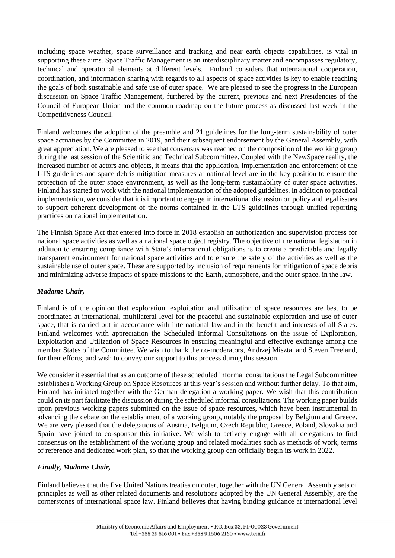including space weather, space surveillance and tracking and near earth objects capabilities, is vital in supporting these aims. Space Traffic Management is an interdisciplinary matter and encompasses regulatory, technical and operational elements at different levels. Finland considers that international cooperation, coordination, and information sharing with regards to all aspects of space activities is key to enable reaching the goals of both sustainable and safe use of outer space. We are pleased to see the progress in the European discussion on Space Traffic Management, furthered by the current, previous and next Presidencies of the Council of European Union and the common roadmap on the future process as discussed last week in the Competitiveness Council.

Finland welcomes the adoption of the preamble and 21 guidelines for the long-term sustainability of outer space activities by the Committee in 2019, and their subsequent endorsement by the General Assembly, with great appreciation. We are pleased to see that consensus was reached on the composition of the working group during the last session of the Scientific and Technical Subcommittee. Coupled with the NewSpace reality, the increased number of actors and objects, it means that the application, implementation and enforcement of the LTS guidelines and space debris mitigation measures at national level are in the key position to ensure the protection of the outer space environment, as well as the long-term sustainability of outer space activities. Finland has started to work with the national implementation of the adopted guidelines. In addition to practical implementation, we consider that it is important to engage in international discussion on policy and legal issues to support coherent development of the norms contained in the LTS guidelines through unified reporting practices on national implementation.

The Finnish Space Act that entered into force in 2018 establish an authorization and supervision process for national space activities as well as a national space object registry. The objective of the national legislation in addition to ensuring compliance with State's international obligations is to create a predictable and legally transparent environment for national space activities and to ensure the safety of the activities as well as the sustainable use of outer space. These are supported by inclusion of requirements for mitigation of space debris and minimizing adverse impacts of space missions to the Earth, atmosphere, and the outer space, in the law.

# *Madame Chair,*

Finland is of the opinion that exploration, exploitation and utilization of space resources are best to be coordinated at international, multilateral level for the peaceful and sustainable exploration and use of outer space, that is carried out in accordance with international law and in the benefit and interests of all States. Finland welcomes with appreciation the Scheduled Informal Consultations on the issue of Exploration, Exploitation and Utilization of Space Resources in ensuring meaningful and effective exchange among the member States of the Committee. We wish to thank the co-moderators, Andrzej Misztal and Steven Freeland, for their efforts, and wish to convey our support to this process during this session.

We consider it essential that as an outcome of these scheduled informal consultations the Legal Subcommittee establishes a Working Group on Space Resources at this year's session and without further delay. To that aim, Finland has initiated together with the German delegation a working paper. We wish that this contribution could on its part facilitate the discussion during the scheduled informal consultations. The working paper builds upon previous working papers submitted on the issue of space resources, which have been instrumental in advancing the debate on the establishment of a working group, notably the proposal by Belgium and Greece. We are very pleased that the delegations of Austria, Belgium, Czech Republic, Greece, Poland, Slovakia and Spain have joined to co-sponsor this initiative. We wish to actively engage with all delegations to find consensus on the establishment of the working group and related modalities such as methods of work, terms of reference and dedicated work plan, so that the working group can officially begin its work in 2022.

# *Finally, Madame Chair,*

Finland believes that the five United Nations treaties on outer, together with the UN General Assembly sets of principles as well as other related documents and resolutions adopted by the UN General Assembly, are the cornerstones of international space law. Finland believes that having binding guidance at international level